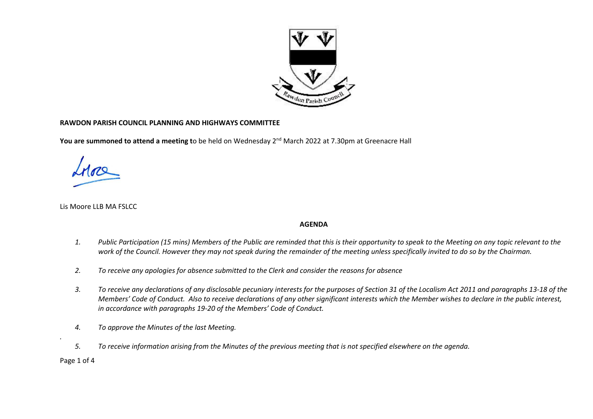

## **RAWDON PARISH COUNCIL PLANNING AND HIGHWAYS COMMITTEE**

**You are summoned to attend a meeting t**o be held on Wednesday 2<sup>nd</sup> March 2022 at 7.30pm at Greenacre Hall

Lis Moore LLB MA FSLCC

## **AGENDA**

- *1. Public Participation (15 mins) Members of the Public are reminded that this is their opportunity to speak to the Meeting on any topic relevant to the work of the Council. However they may not speak during the remainder of the meeting unless specifically invited to do so by the Chairman.*
- *2. To receive any apologies for absence submitted to the Clerk and consider the reasons for absence*
- *3. To receive any declarations of any disclosable pecuniary interests for the purposes of Section 31 of the Localism Act 2011 and paragraphs 13-18 of the Members' Code of Conduct. Also to receive declarations of any other significant interests which the Member wishes to declare in the public interest, in accordance with paragraphs 19-20 of the Members' Code of Conduct.*
- *4. To approve the Minutes of the last Meeting.*
- *5. To receive information arising from the Minutes of the previous meeting that is not specified elsewhere on the agenda.*

Page 1 of 4

*.*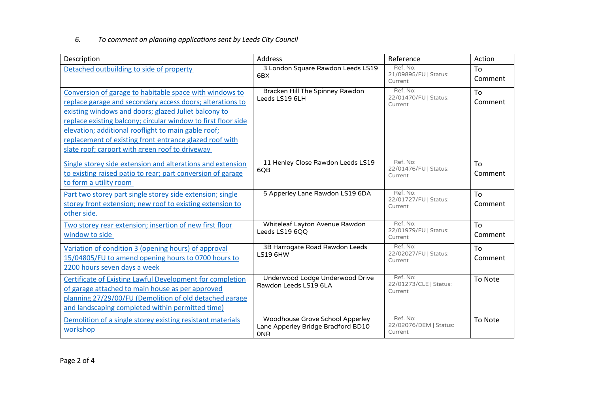## *6. To comment on planning applications sent by Leeds City Council*

| Description                                                                                                                                                                                                                                                                                                                                                                                                        | <b>Address</b>                                                                      | Reference                                     | Action        |
|--------------------------------------------------------------------------------------------------------------------------------------------------------------------------------------------------------------------------------------------------------------------------------------------------------------------------------------------------------------------------------------------------------------------|-------------------------------------------------------------------------------------|-----------------------------------------------|---------------|
| Detached outbuilding to side of property                                                                                                                                                                                                                                                                                                                                                                           | 3 London Square Rawdon Leeds LS19<br>6BX                                            | Ref. No:<br>21/09895/FU   Status:<br>Current  | To<br>Comment |
| Conversion of garage to habitable space with windows to<br>replace garage and secondary access doors; alterations to<br>existing windows and doors; glazed Juliet balcony to<br>replace existing balcony; circular window to first floor side<br>elevation; additional rooflight to main gable roof;<br>replacement of existing front entrance glazed roof with<br>slate roof; carport with green roof to driveway | Bracken Hill The Spinney Rawdon<br>Leeds LS19 6LH                                   | Ref. No:<br>22/01470/FU   Status:<br>Current  | To<br>Comment |
| Single storey side extension and alterations and extension<br>to existing raised patio to rear; part conversion of garage<br>to form a utility room                                                                                                                                                                                                                                                                | 11 Henley Close Rawdon Leeds LS19<br>6QB                                            | Ref. No:<br>22/01476/FU   Status:<br>Current  | To<br>Comment |
| Part two storey part single storey side extension; single<br>storey front extension; new roof to existing extension to<br>other side.                                                                                                                                                                                                                                                                              | 5 Apperley Lane Rawdon LS19 6DA                                                     | Ref. No:<br>22/01727/FU   Status:<br>Current  | To<br>Comment |
| Two storey rear extension; insertion of new first floor<br>window to side                                                                                                                                                                                                                                                                                                                                          | Whiteleaf Layton Avenue Rawdon<br>Leeds LS19 6QQ                                    | Ref. No:<br>22/01979/FU   Status:<br>Current  | To<br>Comment |
| Variation of condition 3 (opening hours) of approval<br>15/04805/FU to amend opening hours to 0700 hours to<br>2200 hours seven days a week                                                                                                                                                                                                                                                                        | 3B Harrogate Road Rawdon Leeds<br><b>LS19 6HW</b>                                   | Ref. No:<br>22/02027/FU   Status:<br>Current  | To<br>Comment |
| <b>Certificate of Existing Lawful Development for completion</b><br>of garage attached to main house as per approved<br>planning 27/29/00/FU (Demolition of old detached garage<br>and landscaping completed within permitted time)                                                                                                                                                                                | Underwood Lodge Underwood Drive<br>Rawdon Leeds LS19 6LA                            | Ref. No:<br>22/01273/CLE   Status:<br>Current | To Note       |
| Demolition of a single storey existing resistant materials<br>workshop                                                                                                                                                                                                                                                                                                                                             | Woodhouse Grove School Apperley<br>Lane Apperley Bridge Bradford BD10<br><b>ONR</b> | Ref. No:<br>22/02076/DEM   Status:<br>Current | To Note       |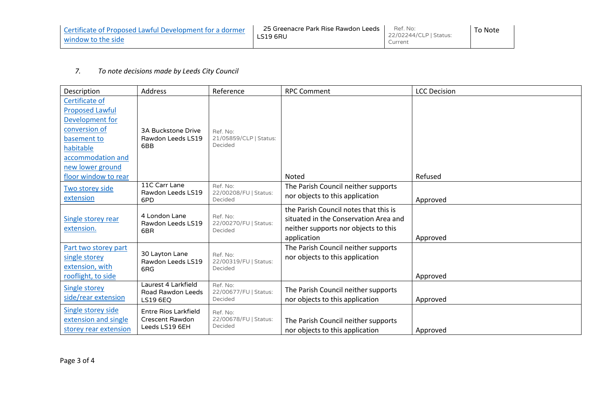| Certificate of Proposed Lawful Development for a dormer | 25 Greenacre Park Rise Rawdon Leeds | Ref. No:               | To Note |
|---------------------------------------------------------|-------------------------------------|------------------------|---------|
| window to the side                                      | LS19 6RU                            | 22/02244/CLP   Status: |         |
|                                                         |                                     | Current                |         |

## *7. To note decisions made by Leeds City Council*

| Description                                                                                                                                       | <b>Address</b>                                                   | Reference                                     | <b>RPC Comment</b>                                                                                                                    | <b>LCC Decision</b> |
|---------------------------------------------------------------------------------------------------------------------------------------------------|------------------------------------------------------------------|-----------------------------------------------|---------------------------------------------------------------------------------------------------------------------------------------|---------------------|
| Certificate of<br><b>Proposed Lawful</b><br>Development for<br>conversion of<br>basement to<br>habitable<br>accommodation and<br>new lower ground | <b>3A Buckstone Drive</b><br>Rawdon Leeds LS19<br>6BB            | Ref. No:<br>21/05859/CLP   Status:<br>Decided |                                                                                                                                       |                     |
| floor window to rear                                                                                                                              |                                                                  |                                               | Noted                                                                                                                                 | Refused             |
| Two storey side<br>extension                                                                                                                      | 11C Carr Lane<br>Rawdon Leeds LS19<br>6PD                        | Ref. No:<br>22/00208/FU   Status:<br>Decided  | The Parish Council neither supports<br>nor objects to this application                                                                | Approved            |
| Single storey rear<br>extension.                                                                                                                  | 4 London Lane<br>Rawdon Leeds LS19<br>6BR                        | Ref. No:<br>22/00270/FU   Status:<br>Decided  | the Parish Council notes that this is<br>situated in the Conservation Area and<br>neither supports nor objects to this<br>application | Approved            |
| Part two storey part<br>single storey<br>extension, with<br>rooflight, to side                                                                    | 30 Layton Lane<br>Rawdon Leeds LS19<br>6RG                       | Ref. No:<br>22/00319/FU   Status:<br>Decided  | The Parish Council neither supports<br>nor objects to this application                                                                | Approved            |
| <b>Single storey</b><br>side/rear extension                                                                                                       | Laurest 4 Larkfield<br>Road Rawdon Leeds<br><b>LS19 6EQ</b>      | Ref. No:<br>22/00677/FU   Status:<br>Decided  | The Parish Council neither supports<br>nor objects to this application                                                                | Approved            |
| Single storey side<br>extension and single<br>storey rear extension                                                                               | Entre Rios Larkfield<br><b>Crescent Rawdon</b><br>Leeds LS19 6EH | Ref. No:<br>22/00678/FU   Status:<br>Decided  | The Parish Council neither supports<br>nor objects to this application                                                                | Approved            |

Page 3 of 4